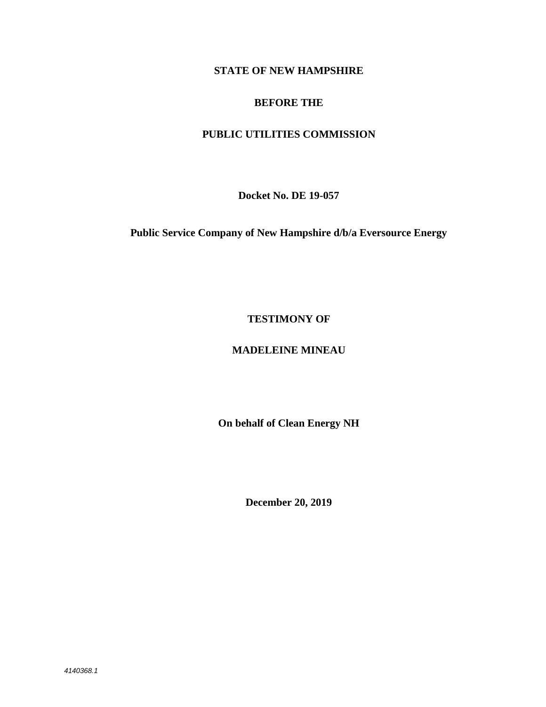## **STATE OF NEW HAMPSHIRE**

#### **BEFORE THE**

# **PUBLIC UTILITIES COMMISSION**

**Docket No. DE 19-057** 

**Public Service Company of New Hampshire d/b/a Eversource Energy** 

**TESTIMONY OF** 

## **MADELEINE MINEAU**

**On behalf of Clean Energy NH** 

**December 20, 2019**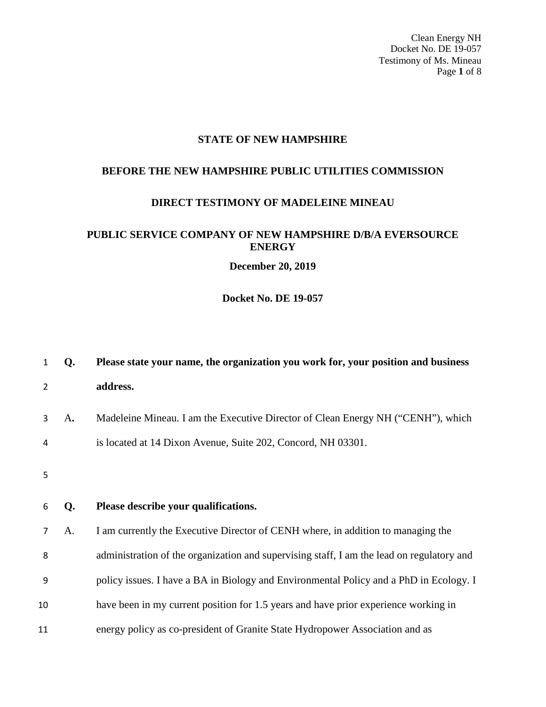Clean Energy NH Docket No. DE 19-057 Testimony of Ms. Mineau Page **1** of 8

### **STATE OF NEW HAMPSHIRE**

#### **BEFORE THE NEW HAMPSHIRE PUBLIC UTILITIES COMMISSION**

#### **DIRECT TESTIMONY OF MADELEINE MINEAU**

#### **PUBLIC SERVICE COMPANY OF NEW HAMPSHIRE D/B/A EVERSOURCE ENERGY**

**December 20, 2019** 

**Docket No. DE 19-057** 

| 1  | Q. | Please state your name, the organization you work for, your position and business         |
|----|----|-------------------------------------------------------------------------------------------|
| 2  |    | address.                                                                                  |
| 3  | A. | Madeleine Mineau. I am the Executive Director of Clean Energy NH ("CENH"), which          |
| 4  |    | is located at 14 Dixon Avenue, Suite 202, Concord, NH 03301.                              |
| 5  |    |                                                                                           |
| 6  | Q. | Please describe your qualifications.                                                      |
|    | A. | I am currently the Executive Director of CENH where, in addition to managing the          |
| 8  |    | administration of the organization and supervising staff, I am the lead on regulatory and |
| 9  |    | policy issues. I have a BA in Biology and Environmental Policy and a PhD in Ecology. I    |
| 10 |    | have been in my current position for 1.5 years and have prior experience working in       |
| 11 |    | energy policy as co-president of Granite State Hydropower Association and as              |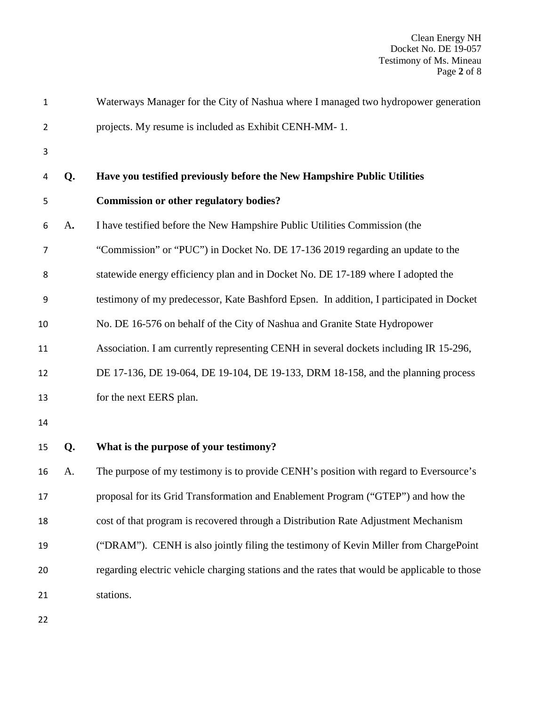Clean Energy NH Docket No. DE 19-057 Testimony of Ms. Mineau Page **2** of 8

| $\mathbf 1$ |               | Waterways Manager for the City of Nashua where I managed two hydropower generation           |
|-------------|---------------|----------------------------------------------------------------------------------------------|
| 2           |               | projects. My resume is included as Exhibit CENH-MM-1.                                        |
| 3           |               |                                                                                              |
| 4           | Q.            | Have you testified previously before the New Hampshire Public Utilities                      |
| 5           |               | <b>Commission or other regulatory bodies?</b>                                                |
| 6           | $A_{\bullet}$ | I have testified before the New Hampshire Public Utilities Commission (the                   |
| 7           |               | "Commission" or "PUC") in Docket No. DE 17-136 2019 regarding an update to the               |
| 8           |               | statewide energy efficiency plan and in Docket No. DE 17-189 where I adopted the             |
| 9           |               | testimony of my predecessor, Kate Bashford Epsen. In addition, I participated in Docket      |
| 10          |               | No. DE 16-576 on behalf of the City of Nashua and Granite State Hydropower                   |
| 11          |               | Association. I am currently representing CENH in several dockets including IR 15-296,        |
| 12          |               | DE 17-136, DE 19-064, DE 19-104, DE 19-133, DRM 18-158, and the planning process             |
| 13          |               | for the next EERS plan.                                                                      |
| 14          |               |                                                                                              |
| 15          | Q.            | What is the purpose of your testimony?                                                       |
| 16          | A.            | The purpose of my testimony is to provide CENH's position with regard to Eversource's        |
| 17          |               | proposal for its Grid Transformation and Enablement Program ("GTEP") and how the             |
| 18          |               | cost of that program is recovered through a Distribution Rate Adjustment Mechanism           |
| 19          |               | ("DRAM"). CENH is also jointly filing the testimony of Kevin Miller from ChargePoint         |
| 20          |               | regarding electric vehicle charging stations and the rates that would be applicable to those |
| 21          |               | stations.                                                                                    |
| 22          |               |                                                                                              |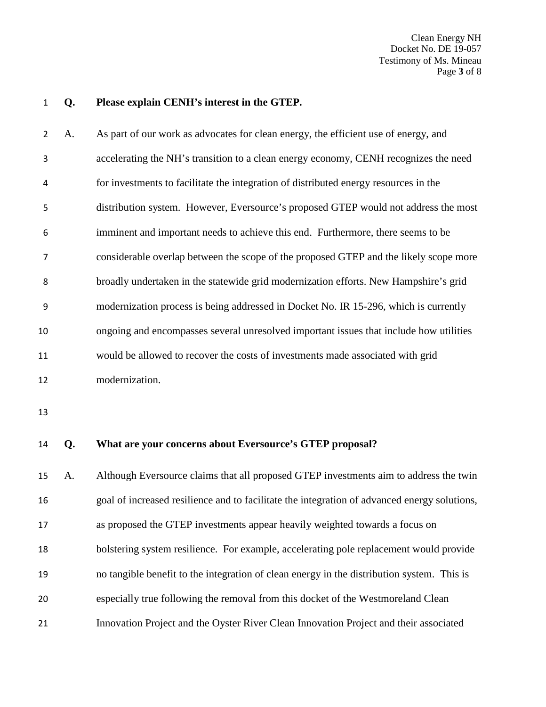Clean Energy NH Docket No. DE 19-057 Testimony of Ms. Mineau Page **3** of 8

**Q. Please explain CENH's interest in the GTEP.** 

A. As part of our work as advocates for clean energy, the efficient use of energy, and accelerating the NH's transition to a clean energy economy, CENH recognizes the need for investments to facilitate the integration of distributed energy resources in the distribution system. However, Eversource's proposed GTEP would not address the most imminent and important needs to achieve this end. Furthermore, there seems to be considerable overlap between the scope of the proposed GTEP and the likely scope more broadly undertaken in the statewide grid modernization efforts. New Hampshire's grid modernization process is being addressed in Docket No. IR 15-296, which is currently ongoing and encompasses several unresolved important issues that include how utilities would be allowed to recover the costs of investments made associated with grid modernization.

#### **Q. What are your concerns about Eversource's GTEP proposal?**

A. Although Eversource claims that all proposed GTEP investments aim to address the twin goal of increased resilience and to facilitate the integration of advanced energy solutions, as proposed the GTEP investments appear heavily weighted towards a focus on bolstering system resilience. For example, accelerating pole replacement would provide no tangible benefit to the integration of clean energy in the distribution system. This is especially true following the removal from this docket of the Westmoreland Clean Innovation Project and the Oyster River Clean Innovation Project and their associated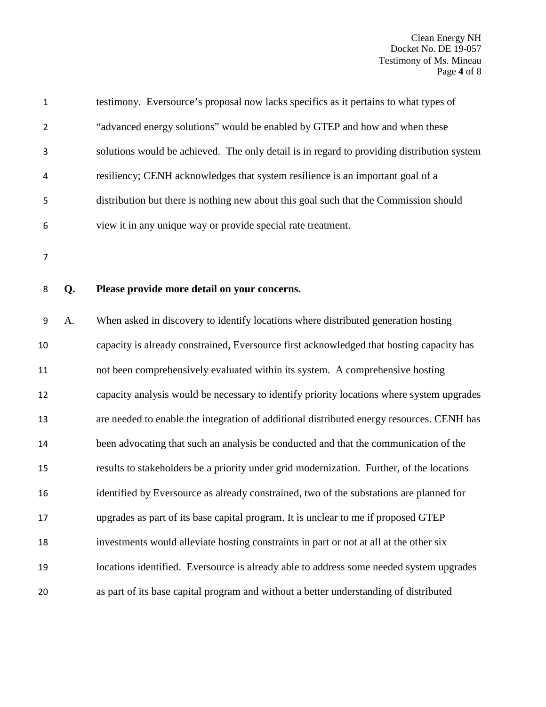| $\mathbf{1}$   | testimony. Eversource's proposal now lacks specifics as it pertains to what types of       |
|----------------|--------------------------------------------------------------------------------------------|
| $\overline{2}$ | "advanced energy solutions" would be enabled by GTEP and how and when these                |
| 3              | solutions would be achieved. The only detail is in regard to providing distribution system |
| $\overline{4}$ | resiliency; CENH acknowledges that system resilience is an important goal of a             |
| 5              | distribution but there is nothing new about this goal such that the Commission should      |
| 6              | view it in any unique way or provide special rate treatment.                               |

#### **Q. Please provide more detail on your concerns.**

A. When asked in discovery to identify locations where distributed generation hosting capacity is already constrained, Eversource first acknowledged that hosting capacity has not been comprehensively evaluated within its system. A comprehensive hosting capacity analysis would be necessary to identify priority locations where system upgrades are needed to enable the integration of additional distributed energy resources. CENH has been advocating that such an analysis be conducted and that the communication of the results to stakeholders be a priority under grid modernization. Further, of the locations identified by Eversource as already constrained, two of the substations are planned for upgrades as part of its base capital program. It is unclear to me if proposed GTEP investments would alleviate hosting constraints in part or not at all at the other six locations identified. Eversource is already able to address some needed system upgrades as part of its base capital program and without a better understanding of distributed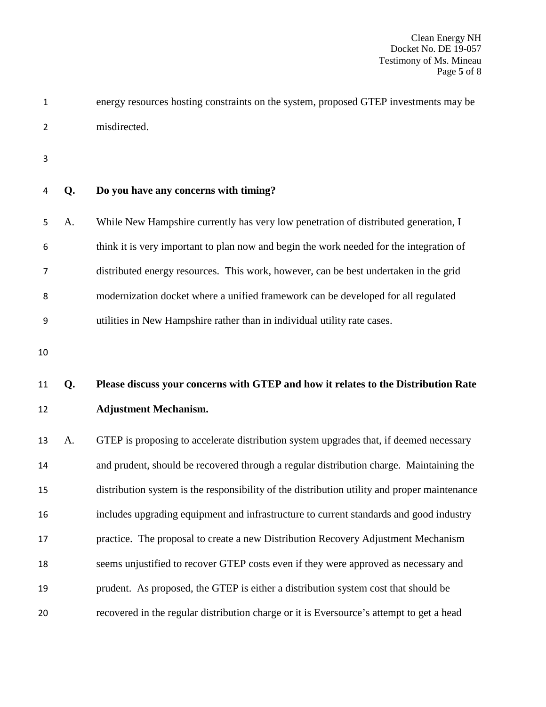| $\mathbf 1$    |    | energy resources hosting constraints on the system, proposed GTEP investments may be         |
|----------------|----|----------------------------------------------------------------------------------------------|
| $\overline{2}$ |    | misdirected.                                                                                 |
| 3              |    |                                                                                              |
| 4              | Q. | Do you have any concerns with timing?                                                        |
| 5              | A. | While New Hampshire currently has very low penetration of distributed generation, I          |
| 6              |    | think it is very important to plan now and begin the work needed for the integration of      |
| 7              |    | distributed energy resources. This work, however, can be best undertaken in the grid         |
| 8              |    | modernization docket where a unified framework can be developed for all regulated            |
| 9              |    | utilities in New Hampshire rather than in individual utility rate cases.                     |
| 10             |    |                                                                                              |
| 11             | Q. | Please discuss your concerns with GTEP and how it relates to the Distribution Rate           |
| 12             |    | <b>Adjustment Mechanism.</b>                                                                 |
| 13             | A. | GTEP is proposing to accelerate distribution system upgrades that, if deemed necessary       |
| 14             |    | and prudent, should be recovered through a regular distribution charge. Maintaining the      |
| 15             |    | distribution system is the responsibility of the distribution utility and proper maintenance |
| 16             |    | includes upgrading equipment and infrastructure to current standards and good industry       |
|                |    |                                                                                              |
| 17             |    | practice. The proposal to create a new Distribution Recovery Adjustment Mechanism            |
| 18             |    | seems unjustified to recover GTEP costs even if they were approved as necessary and          |

recovered in the regular distribution charge or it is Eversource's attempt to get a head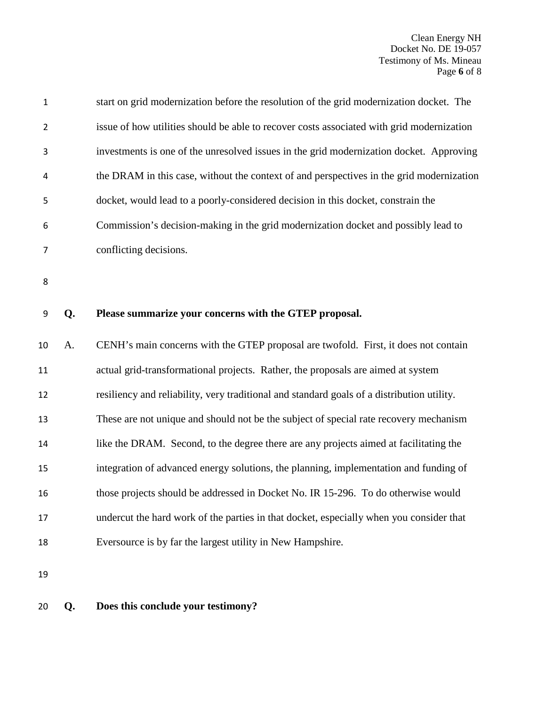| $\mathbf{1}$ |    | start on grid modernization before the resolution of the grid modernization docket. The    |
|--------------|----|--------------------------------------------------------------------------------------------|
| 2            |    | issue of how utilities should be able to recover costs associated with grid modernization  |
| 3            |    | investments is one of the unresolved issues in the grid modernization docket. Approving    |
| 4            |    | the DRAM in this case, without the context of and perspectives in the grid modernization   |
| 5            |    | docket, would lead to a poorly-considered decision in this docket, constrain the           |
| 6            |    | Commission's decision-making in the grid modernization docket and possibly lead to         |
| 7            |    | conflicting decisions.                                                                     |
| 8            |    |                                                                                            |
| 9            | Q. | Please summarize your concerns with the GTEP proposal.                                     |
|              |    |                                                                                            |
| 10           | A. | CENH's main concerns with the GTEP proposal are twofold. First, it does not contain        |
| 11           |    | actual grid-transformational projects. Rather, the proposals are aimed at system           |
| 12           |    | resiliency and reliability, very traditional and standard goals of a distribution utility. |
| 13           |    | These are not unique and should not be the subject of special rate recovery mechanism      |
| 14           |    | like the DRAM. Second, to the degree there are any projects aimed at facilitating the      |
| 15           |    | integration of advanced energy solutions, the planning, implementation and funding of      |
| 16           |    | those projects should be addressed in Docket No. IR 15-296. To do otherwise would          |
| 17           |    | undercut the hard work of the parties in that docket, especially when you consider that    |
| 18           |    | Eversource is by far the largest utility in New Hampshire.                                 |

# **Q. Does this conclude your testimony?**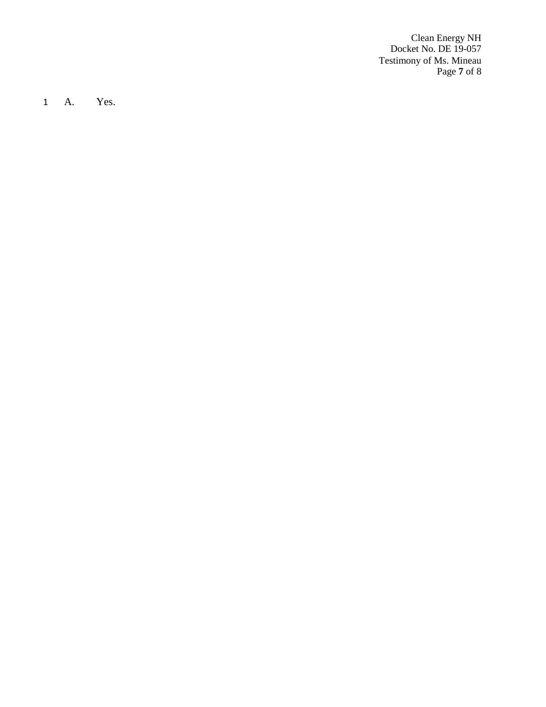Clean Energy NH Docket No. DE 19-057 Testimony of Ms. Mineau Page **7** of 8

1 A. Yes.